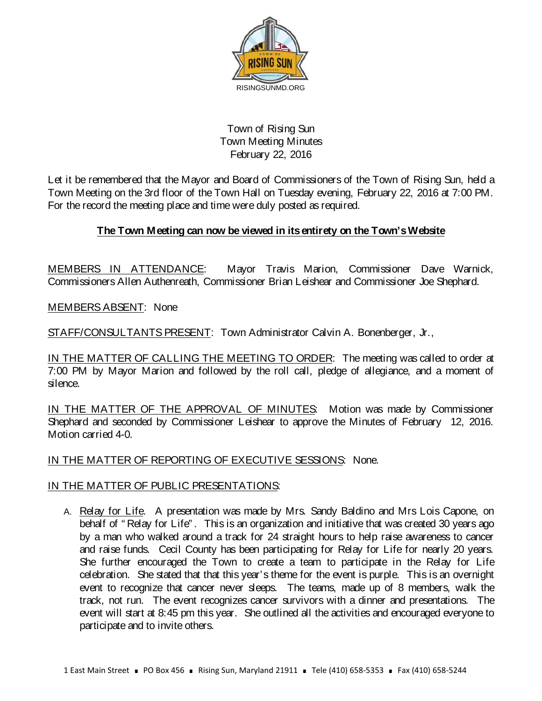

## Town of Rising Sun Town Meeting Minutes February 22, 2016

Let it be remembered that the Mayor and Board of Commissioners of the Town of Rising Sun, held a Town Meeting on the 3rd floor of the Town Hall on Tuesday evening, February 22, 2016 at 7:00 PM. For the record the meeting place and time were duly posted as required.

# **The Town Meeting can now be viewed in its entirety on the Town's Website**

MEMBERS IN ATTENDANCE: Mayor Travis Marion, Commissioner Dave Warnick, Commissioners Allen Authenreath, Commissioner Brian Leishear and Commissioner Joe Shephard.

MEMBERS ABSENT: None

STAFF/CONSULTANTS PRESENT: Town Administrator Calvin A. Bonenberger, Jr.,

IN THE MATTER OF CALLING THE MEETING TO ORDER: The meeting was called to order at 7:00 PM by Mayor Marion and followed by the roll call, pledge of allegiance, and a moment of silence.

IN THE MATTER OF THE APPROVAL OF MINUTES: Motion was made by Commissioner Shephard and seconded by Commissioner Leishear to approve the Minutes of February 12, 2016. Motion carried 4-0.

## IN THE MATTER OF REPORTING OF EXECUTIVE SESSIONS: None.

## IN THE MATTER OF PUBLIC PRESENTATIONS:

A. Relay for Life. A presentation was made by Mrs. Sandy Baldino and Mrs Lois Capone, on behalf of " Relay for Life" . This is an organization and initiative that was created 30 years ago by a man who walked around a track for 24 straight hours to help raise awareness to cancer and raise funds. Cecil County has been participating for Relay for Life for nearly 20 years. She further encouraged the Town to create a team to participate in the Relay for Life celebration. She stated that that this year's theme for the event is purple. This is an overnight event to recognize that cancer never sleeps. The teams, made up of 8 members, walk the track, not run. The event recognizes cancer survivors with a dinner and presentations. The event will start at 8:45 pm this year. She outlined all the activities and encouraged everyone to participate and to invite others.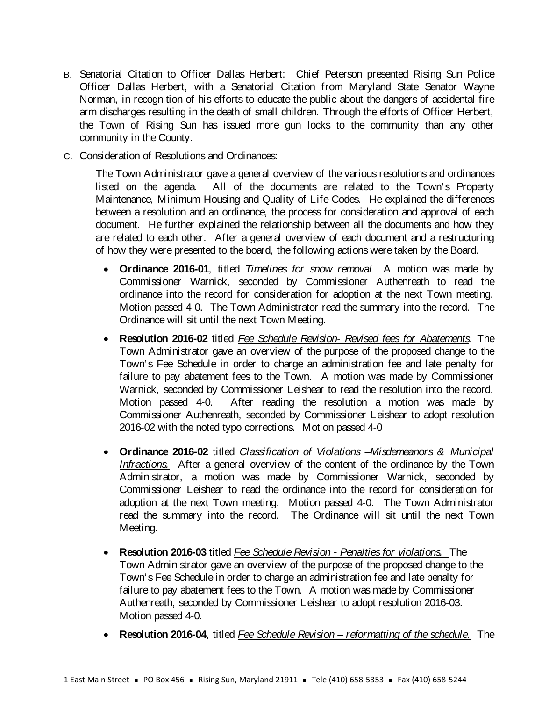- B. Senatorial Citation to Officer Dallas Herbert: Chief Peterson presented Rising Sun Police Officer Dallas Herbert, with a Senatorial Citation from Maryland State Senator Wayne Norman, in recognition of his efforts to educate the public about the dangers of accidental fire arm discharges resulting in the death of small children. Through the efforts of Officer Herbert, the Town of Rising Sun has issued more gun locks to the community than any other community in the County.
- C. Consideration of Resolutions and Ordinances:

The Town Administrator gave a general overview of the various resolutions and ordinances listed on the agenda. All of the documents are related to the Town's Property Maintenance, Minimum Housing and Quality of Life Codes. He explained the differences between a resolution and an ordinance, the process for consideration and approval of each document. He further explained the relationship between all the documents and how they are related to each other. After a general overview of each document and a restructuring of how they were presented to the board, the following actions were taken by the Board.

- **Ordinance 2016-01**, titled *Timelines for snow removal* A motion was made by Commissioner Warnick, seconded by Commissioner Authenreath to read the ordinance into the record for consideration for adoption at the next Town meeting. Motion passed 4-0. The Town Administrator read the summary into the record. The Ordinance will sit until the next Town Meeting.
- **Resolution 2016-02** titled *Fee Schedule Revision- Revised fees for Abatements*. The Town Administrator gave an overview of the purpose of the proposed change to the Town's Fee Schedule in order to charge an administration fee and late penalty for failure to pay abatement fees to the Town. A motion was made by Commissioner Warnick, seconded by Commissioner Leishear to read the resolution into the record. Motion passed 4-0. After reading the resolution a motion was made by Commissioner Authenreath, seconded by Commissioner Leishear to adopt resolution 2016-02 with the noted typo corrections. Motion passed 4-0
- **Ordinance 2016-02** titled *Classification of Violations –Misdemeanors & Municipal Infractions.* After a general overview of the content of the ordinance by the Town Administrator, a motion was made by Commissioner Warnick, seconded by Commissioner Leishear to read the ordinance into the record for consideration for adoption at the next Town meeting. Motion passed 4-0. The Town Administrator read the summary into the record. The Ordinance will sit until the next Town Meeting.
- **Resolution 2016-03** titled *Fee Schedule Revision - Penalties for violations.* The Town Administrator gave an overview of the purpose of the proposed change to the Town's Fee Schedule in order to charge an administration fee and late penalty for failure to pay abatement fees to the Town. A motion was made by Commissioner Authenreath, seconded by Commissioner Leishear to adopt resolution 2016-03. Motion passed 4-0.
- **Resolution 2016-04**, titled *Fee Schedule Revision – reformatting of the schedule.* The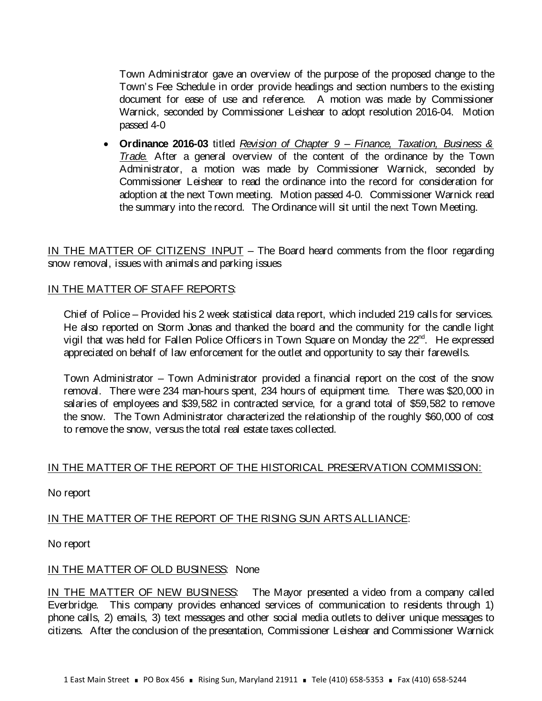Town Administrator gave an overview of the purpose of the proposed change to the Town's Fee Schedule in order provide headings and section numbers to the existing document for ease of use and reference. A motion was made by Commissioner Warnick, seconded by Commissioner Leishear to adopt resolution 2016-04. Motion passed 4-0

• **Ordinance 2016-03** titled *Revision of Chapter 9 – Finance, Taxation, Business & Trade.* After a general overview of the content of the ordinance by the Town Administrator, a motion was made by Commissioner Warnick, seconded by Commissioner Leishear to read the ordinance into the record for consideration for adoption at the next Town meeting. Motion passed 4-0. Commissioner Warnick read the summary into the record. The Ordinance will sit until the next Town Meeting.

IN THE MATTER OF CITIZENS' INPUT – The Board heard comments from the floor regarding snow removal, issues with animals and parking issues

## IN THE MATTER OF STAFF REPORTS:

Chief of Police – Provided his 2 week statistical data report, which included 219 calls for services. He also reported on Storm Jonas and thanked the board and the community for the candle light vigil that was held for Fallen Police Officers in Town Square on Monday the 22<sup>nd</sup>. He expressed appreciated on behalf of law enforcement for the outlet and opportunity to say their farewells.

Town Administrator – Town Administrator provided a financial report on the cost of the snow removal. There were 234 man-hours spent, 234 hours of equipment time. There was \$20,000 in salaries of employees and \$39,582 in contracted service, for a grand total of \$59,582 to remove the snow. The Town Administrator characterized the relationship of the roughly \$60,000 of cost to remove the snow, versus the total real estate taxes collected.

## IN THE MATTER OF THE REPORT OF THE HISTORICAL PRESERVATION COMMISSION:

No report

## IN THE MATTER OF THE REPORT OF THE RISING SUN ARTS ALLIANCE:

No report

## IN THE MATTER OF OLD BUSINESS: None

IN THE MATTER OF NEW BUSINESS: The Mayor presented a video from a company called Everbridge. This company provides enhanced services of communication to residents through 1) phone calls, 2) emails, 3) text messages and other social media outlets to deliver unique messages to citizens. After the conclusion of the presentation, Commissioner Leishear and Commissioner Warnick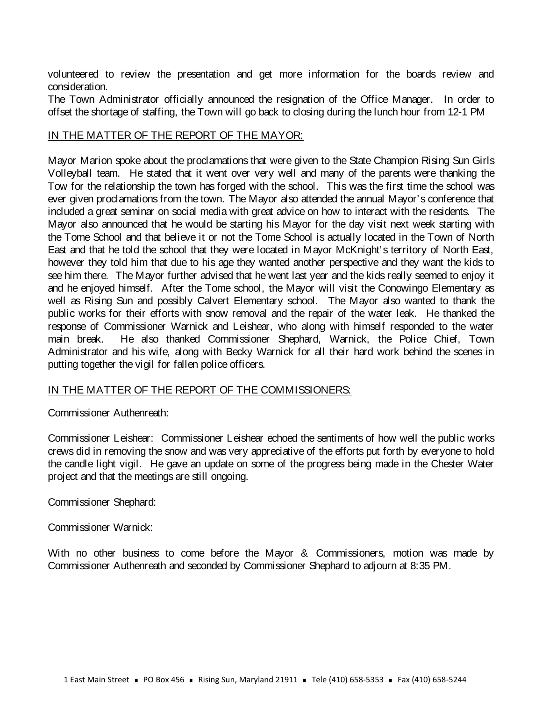volunteered to review the presentation and get more information for the boards review and consideration.

The Town Administrator officially announced the resignation of the Office Manager. In order to offset the shortage of staffing, the Town will go back to closing during the lunch hour from 12-1 PM

## IN THE MATTER OF THE REPORT OF THE MAYOR:

Mayor Marion spoke about the proclamations that were given to the State Champion Rising Sun Girls Volleyball team. He stated that it went over very well and many of the parents were thanking the Tow for the relationship the town has forged with the school. This was the first time the school was ever given proclamations from the town. The Mayor also attended the annual Mayor's conference that included a great seminar on social media with great advice on how to interact with the residents. The Mayor also announced that he would be starting his Mayor for the day visit next week starting with the Tome School and that believe it or not the Tome School is actually located in the Town of North East and that he told the school that they were located in Mayor McKnight's territory of North East, however they told him that due to his age they wanted another perspective and they want the kids to see him there. The Mayor further advised that he went last year and the kids really seemed to enjoy it and he enjoyed himself. After the Tome school, the Mayor will visit the Conowingo Elementary as well as Rising Sun and possibly Calvert Elementary school. The Mayor also wanted to thank the public works for their efforts with snow removal and the repair of the water leak. He thanked the response of Commissioner Warnick and Leishear, who along with himself responded to the water main break. He also thanked Commissioner Shephard, Warnick, the Police Chief, Town Administrator and his wife, along with Becky Warnick for all their hard work behind the scenes in putting together the vigil for fallen police officers.

## IN THE MATTER OF THE REPORT OF THE COMMISSIONERS:

## Commissioner Authenreath:

Commissioner Leishear: Commissioner Leishear echoed the sentiments of how well the public works crews did in removing the snow and was very appreciative of the efforts put forth by everyone to hold the candle light vigil. He gave an update on some of the progress being made in the Chester Water project and that the meetings are still ongoing.

Commissioner Shephard:

Commissioner Warnick:

With no other business to come before the Mayor & Commissioners, motion was made by Commissioner Authenreath and seconded by Commissioner Shephard to adjourn at 8:35 PM.